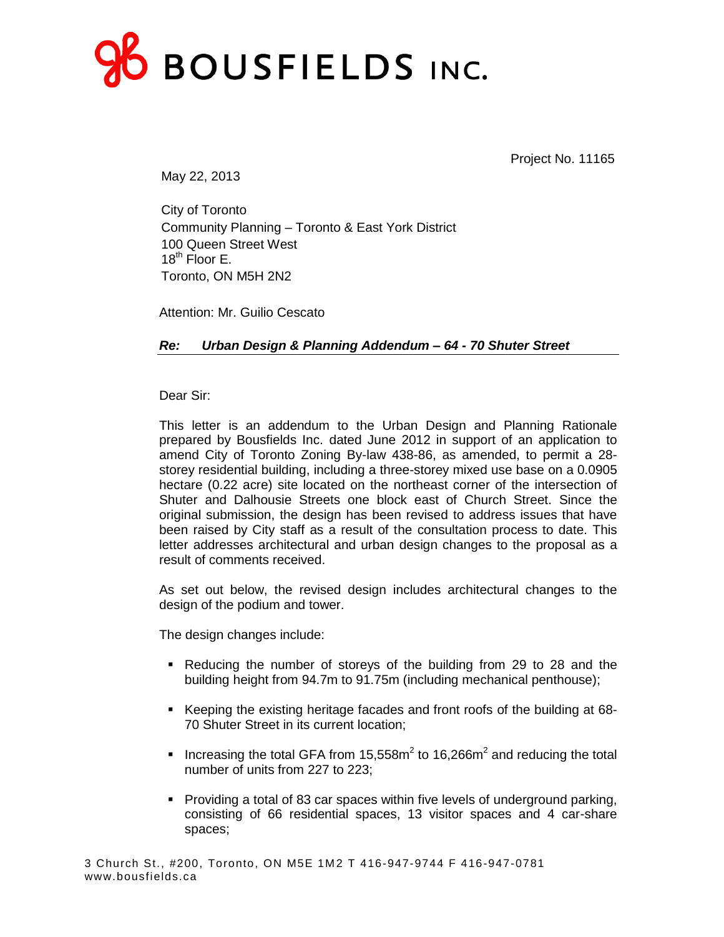

Project No. 11165

May 22, 2013

City of Toronto Community Planning – Toronto & East York District 100 Queen Street West  $18^{th}$  Floor F. Toronto, ON M5H 2N2

Attention: Mr. Guilio Cescato

*Re: Urban Design & Planning Addendum – 64 - 70 Shuter Street*

Dear Sir:

This letter is an addendum to the Urban Design and Planning Rationale prepared by Bousfields Inc. dated June 2012 in support of an application to amend City of Toronto Zoning By-law 438-86, as amended, to permit a 28 storey residential building, including a three-storey mixed use base on a 0.0905 hectare (0.22 acre) site located on the northeast corner of the intersection of Shuter and Dalhousie Streets one block east of Church Street. Since the original submission, the design has been revised to address issues that have been raised by City staff as a result of the consultation process to date. This letter addresses architectural and urban design changes to the proposal as a result of comments received.

As set out below, the revised design includes architectural changes to the design of the podium and tower.

The design changes include:

- Reducing the number of storeys of the building from 29 to 28 and the building height from 94.7m to 91.75m (including mechanical penthouse);
- Keeping the existing heritage facades and front roofs of the building at 68-70 Shuter Street in its current location;
- Increasing the total GFA from  $15{,}558m^2$  to  $16{,}266m^2$  and reducing the total number of units from 227 to 223;
- **Providing a total of 83 car spaces within five levels of underground parking,** consisting of 66 residential spaces, 13 visitor spaces and 4 car-share spaces;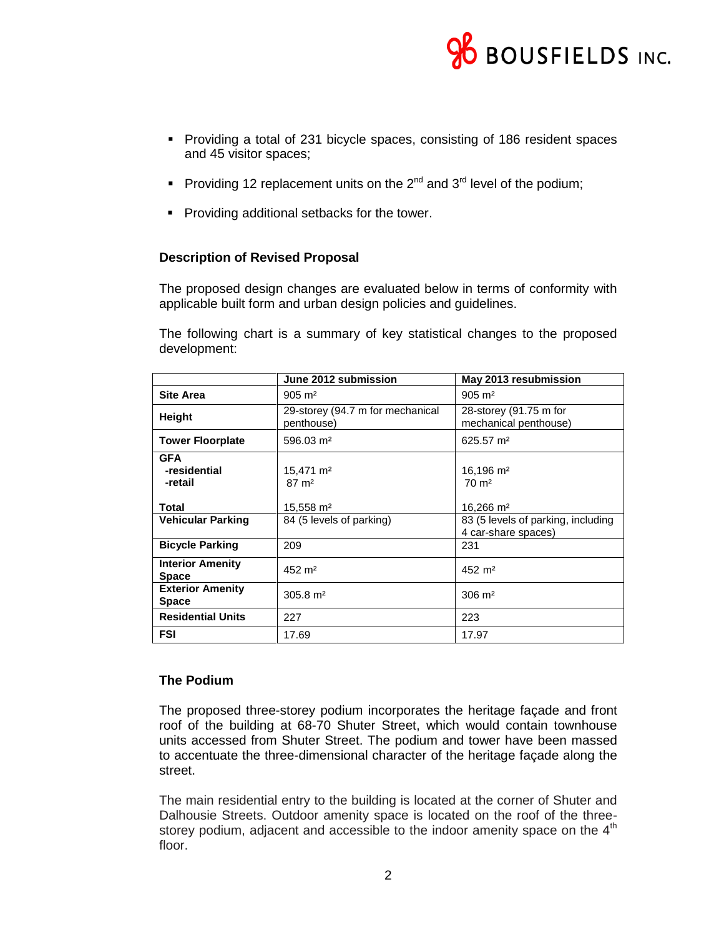

- Providing a total of 231 bicycle spaces, consisting of 186 resident spaces and 45 visitor spaces;
- Providing 12 replacement units on the  $2^{nd}$  and  $3^{rd}$  level of the podium;
- **Providing additional setbacks for the tower.**

## **Description of Revised Proposal**

The proposed design changes are evaluated below in terms of conformity with applicable built form and urban design policies and guidelines.

The following chart is a summary of key statistical changes to the proposed development:

|                                       | June 2012 submission                           | May 2013 resubmission                                     |
|---------------------------------------|------------------------------------------------|-----------------------------------------------------------|
| <b>Site Area</b>                      | $905 \; \text{m}^2$                            | $905 \; \text{m}^2$                                       |
| <b>Height</b>                         | 29-storey (94.7 m for mechanical<br>penthouse) | 28-storey (91.75 m for<br>mechanical penthouse)           |
| <b>Tower Floorplate</b>               | $596.03 \text{ m}^2$                           | $625.57 \text{ m}^2$                                      |
| <b>GFA</b><br>-residential<br>-retail | $15,471 \text{ m}^2$<br>$87 \text{ m}^2$       | $16,196 \text{ m}^2$<br>$70 \text{ m}^2$                  |
| <b>Total</b>                          | 15,558 m <sup>2</sup>                          | 16,266 m <sup>2</sup>                                     |
| <b>Vehicular Parking</b>              | 84 (5 levels of parking)                       | 83 (5 levels of parking, including<br>4 car-share spaces) |
| <b>Bicycle Parking</b>                | 209                                            | 231                                                       |
| <b>Interior Amenity</b><br>Space      | 452 m <sup>2</sup>                             | 452 m <sup>2</sup>                                        |
| <b>Exterior Amenity</b><br>Space      | $305.8 \text{ m}^2$                            | $306 \; \text{m}^2$                                       |
| <b>Residential Units</b>              | 227                                            | 223                                                       |
| <b>FSI</b>                            | 17.69                                          | 17.97                                                     |

## **The Podium**

The proposed three-storey podium incorporates the heritage façade and front roof of the building at 68-70 Shuter Street, which would contain townhouse units accessed from Shuter Street. The podium and tower have been massed to accentuate the three-dimensional character of the heritage façade along the street.

The main residential entry to the building is located at the corner of Shuter and Dalhousie Streets. Outdoor amenity space is located on the roof of the threestorey podium, adjacent and accessible to the indoor amenity space on the  $4<sup>th</sup>$ floor.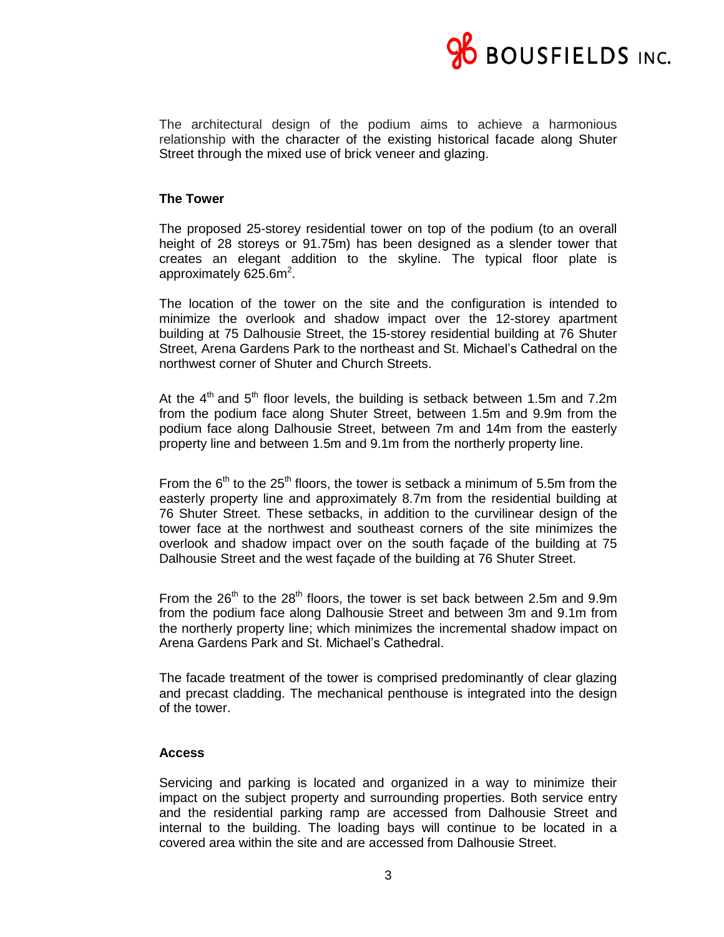

The architectural design of the podium aims to achieve a harmonious relationship with the character of the existing historical facade along Shuter Street through the mixed use of brick veneer and glazing.

## **The Tower**

The proposed 25-storey residential tower on top of the podium (to an overall height of 28 storeys or 91.75m) has been designed as a slender tower that creates an elegant addition to the skyline. The typical floor plate is approximately 625.6m $^2$ .

The location of the tower on the site and the configuration is intended to minimize the overlook and shadow impact over the 12-storey apartment building at 75 Dalhousie Street, the 15-storey residential building at 76 Shuter Street, Arena Gardens Park to the northeast and St. Michael's Cathedral on the northwest corner of Shuter and Church Streets.

At the  $4<sup>th</sup>$  and  $5<sup>th</sup>$  floor levels, the building is setback between 1.5m and 7.2m from the podium face along Shuter Street, between 1.5m and 9.9m from the podium face along Dalhousie Street, between 7m and 14m from the easterly property line and between 1.5m and 9.1m from the northerly property line.

From the  $6<sup>th</sup>$  to the 25<sup>th</sup> floors, the tower is setback a minimum of 5.5m from the easterly property line and approximately 8.7m from the residential building at 76 Shuter Street. These setbacks, in addition to the curvilinear design of the tower face at the northwest and southeast corners of the site minimizes the overlook and shadow impact over on the south façade of the building at 75 Dalhousie Street and the west façade of the building at 76 Shuter Street.

From the  $26<sup>th</sup>$  to the  $28<sup>th</sup>$  floors, the tower is set back between 2.5m and 9.9m from the podium face along Dalhousie Street and between 3m and 9.1m from the northerly property line; which minimizes the incremental shadow impact on Arena Gardens Park and St. Michael's Cathedral.

The facade treatment of the tower is comprised predominantly of clear glazing and precast cladding. The mechanical penthouse is integrated into the design of the tower.

### **Access**

Servicing and parking is located and organized in a way to minimize their impact on the subject property and surrounding properties. Both service entry and the residential parking ramp are accessed from Dalhousie Street and internal to the building. The loading bays will continue to be located in a covered area within the site and are accessed from Dalhousie Street.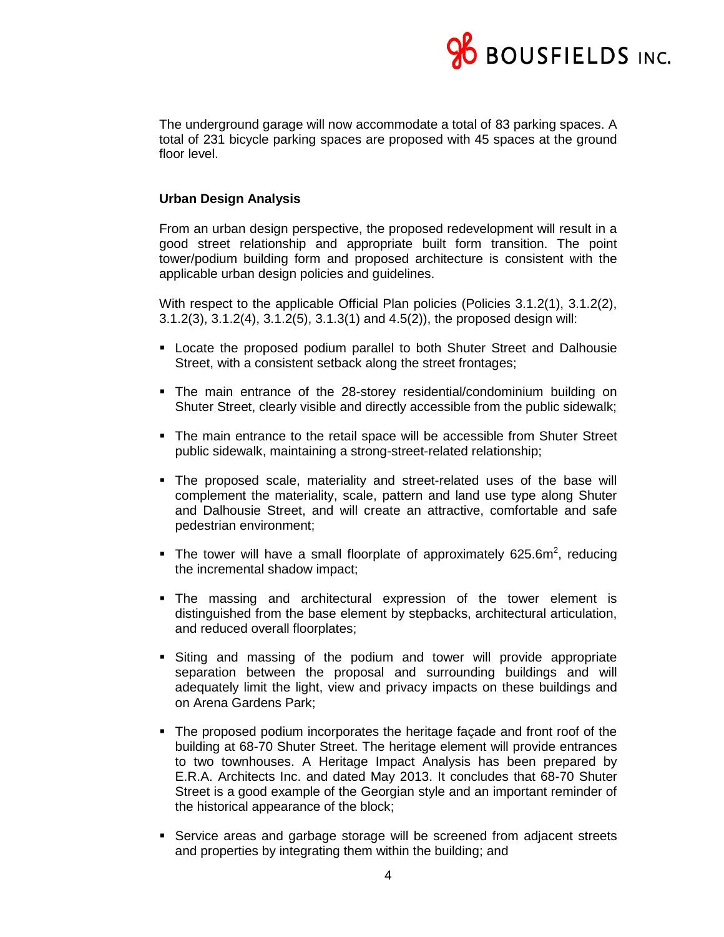

The underground garage will now accommodate a total of 83 parking spaces. A total of 231 bicycle parking spaces are proposed with 45 spaces at the ground floor level.

## **Urban Design Analysis**

From an urban design perspective, the proposed redevelopment will result in a good street relationship and appropriate built form transition. The point tower/podium building form and proposed architecture is consistent with the applicable urban design policies and guidelines.

With respect to the applicable Official Plan policies (Policies 3.1.2(1), 3.1.2(2), 3.1.2(3), 3.1.2(4), 3.1.2(5), 3.1.3(1) and 4.5(2)), the proposed design will:

- Locate the proposed podium parallel to both Shuter Street and Dalhousie Street, with a consistent setback along the street frontages;
- The main entrance of the 28-storey residential/condominium building on Shuter Street, clearly visible and directly accessible from the public sidewalk;
- The main entrance to the retail space will be accessible from Shuter Street public sidewalk, maintaining a strong-street-related relationship;
- The proposed scale, materiality and street-related uses of the base will complement the materiality, scale, pattern and land use type along Shuter and Dalhousie Street, and will create an attractive, comfortable and safe pedestrian environment;
- The tower will have a small floorplate of approximately 625.6m<sup>2</sup>, reducing the incremental shadow impact;
- The massing and architectural expression of the tower element is distinguished from the base element by stepbacks, architectural articulation, and reduced overall floorplates;
- Siting and massing of the podium and tower will provide appropriate separation between the proposal and surrounding buildings and will adequately limit the light, view and privacy impacts on these buildings and on Arena Gardens Park;
- The proposed podium incorporates the heritage façade and front roof of the building at 68-70 Shuter Street. The heritage element will provide entrances to two townhouses. A Heritage Impact Analysis has been prepared by E.R.A. Architects Inc. and dated May 2013. It concludes that 68-70 Shuter Street is a good example of the Georgian style and an important reminder of the historical appearance of the block;
- **Service areas and garbage storage will be screened from adjacent streets** and properties by integrating them within the building; and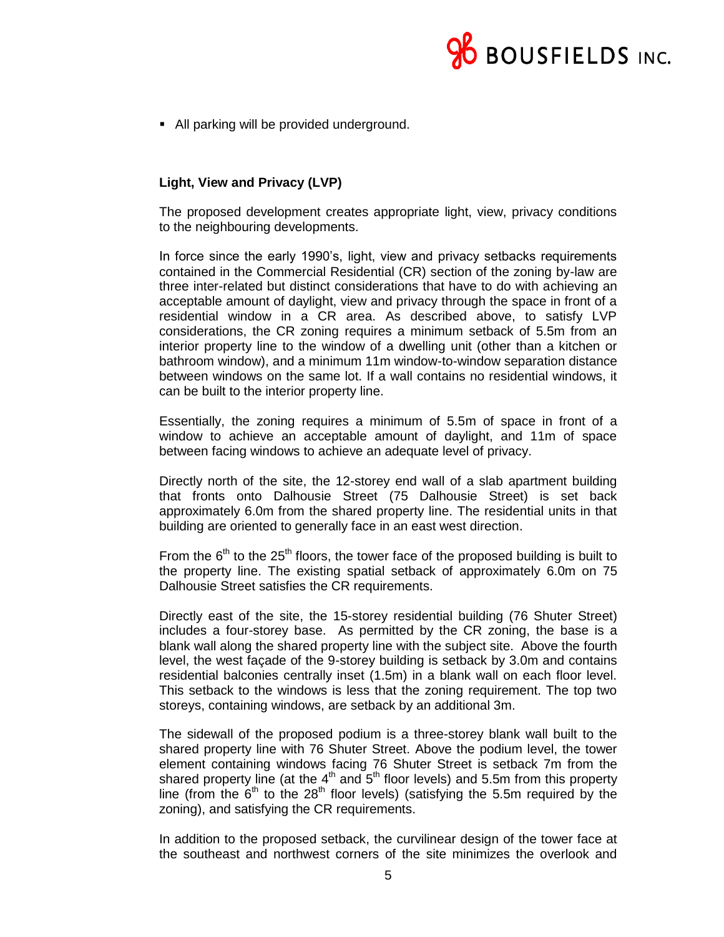

• All parking will be provided underground.

# **Light, View and Privacy (LVP)**

The proposed development creates appropriate light, view, privacy conditions to the neighbouring developments.

In force since the early 1990's, light, view and privacy setbacks requirements contained in the Commercial Residential (CR) section of the zoning by-law are three inter-related but distinct considerations that have to do with achieving an acceptable amount of daylight, view and privacy through the space in front of a residential window in a CR area. As described above, to satisfy LVP considerations, the CR zoning requires a minimum setback of 5.5m from an interior property line to the window of a dwelling unit (other than a kitchen or bathroom window), and a minimum 11m window-to-window separation distance between windows on the same lot. If a wall contains no residential windows, it can be built to the interior property line.

Essentially, the zoning requires a minimum of 5.5m of space in front of a window to achieve an acceptable amount of daylight, and 11m of space between facing windows to achieve an adequate level of privacy.

Directly north of the site, the 12-storey end wall of a slab apartment building that fronts onto Dalhousie Street (75 Dalhousie Street) is set back approximately 6.0m from the shared property line. The residential units in that building are oriented to generally face in an east west direction.

From the  $6<sup>th</sup>$  to the 25<sup>th</sup> floors, the tower face of the proposed building is built to the property line. The existing spatial setback of approximately 6.0m on 75 Dalhousie Street satisfies the CR requirements.

Directly east of the site, the 15-storey residential building (76 Shuter Street) includes a four-storey base. As permitted by the CR zoning, the base is a blank wall along the shared property line with the subject site. Above the fourth level, the west façade of the 9-storey building is setback by 3.0m and contains residential balconies centrally inset (1.5m) in a blank wall on each floor level. This setback to the windows is less that the zoning requirement. The top two storeys, containing windows, are setback by an additional 3m.

The sidewall of the proposed podium is a three-storey blank wall built to the shared property line with 76 Shuter Street. Above the podium level, the tower element containing windows facing 76 Shuter Street is setback 7m from the shared property line (at the  $4<sup>th</sup>$  and  $5<sup>th</sup>$  floor levels) and 5.5m from this property line (from the  $6<sup>th</sup>$  to the 28<sup>th</sup> floor levels) (satisfying the 5.5m required by the zoning), and satisfying the CR requirements.

In addition to the proposed setback, the curvilinear design of the tower face at the southeast and northwest corners of the site minimizes the overlook and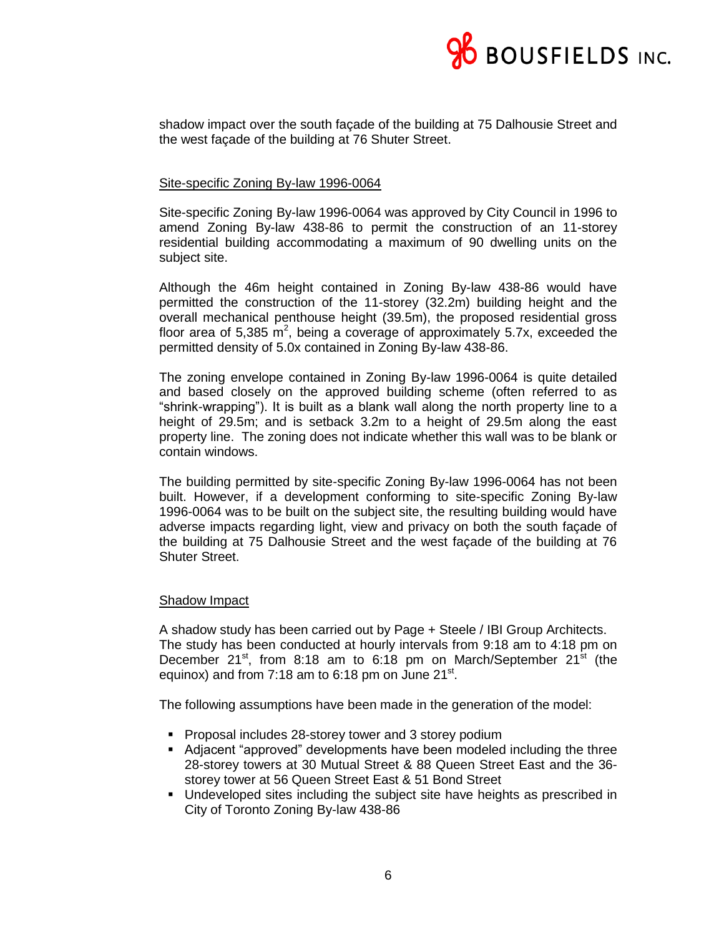

shadow impact over the south façade of the building at 75 Dalhousie Street and the west façade of the building at 76 Shuter Street.

### Site-specific Zoning By-law 1996-0064

Site-specific Zoning By-law 1996-0064 was approved by City Council in 1996 to amend Zoning By-law 438-86 to permit the construction of an 11-storey residential building accommodating a maximum of 90 dwelling units on the subject site.

Although the 46m height contained in Zoning By-law 438-86 would have permitted the construction of the 11-storey (32.2m) building height and the overall mechanical penthouse height (39.5m), the proposed residential gross floor area of 5,385  $m^2$ , being a coverage of approximately 5.7x, exceeded the permitted density of 5.0x contained in Zoning By-law 438-86.

The zoning envelope contained in Zoning By-law 1996-0064 is quite detailed and based closely on the approved building scheme (often referred to as "shrink-wrapping"). It is built as a blank wall along the north property line to a height of 29.5m; and is setback 3.2m to a height of 29.5m along the east property line. The zoning does not indicate whether this wall was to be blank or contain windows.

The building permitted by site-specific Zoning By-law 1996-0064 has not been built. However, if a development conforming to site-specific Zoning By-law 1996-0064 was to be built on the subject site, the resulting building would have adverse impacts regarding light, view and privacy on both the south façade of the building at 75 Dalhousie Street and the west façade of the building at 76 Shuter Street.

### Shadow Impact

A shadow study has been carried out by Page + Steele / IBI Group Architects. The study has been conducted at hourly intervals from 9:18 am to 4:18 pm on December  $21^{st}$ , from 8:18 am to 6:18 pm on March/September  $21^{st}$  (the equinox) and from 7:18 am to 6:18 pm on June 21 $^{\rm st}$ .

The following assumptions have been made in the generation of the model:

- **Proposal includes 28-storey tower and 3 storey podium**
- Adjacent "approved" developments have been modeled including the three 28-storey towers at 30 Mutual Street & 88 Queen Street East and the 36 storey tower at 56 Queen Street East & 51 Bond Street
- Undeveloped sites including the subject site have heights as prescribed in City of Toronto Zoning By-law 438-86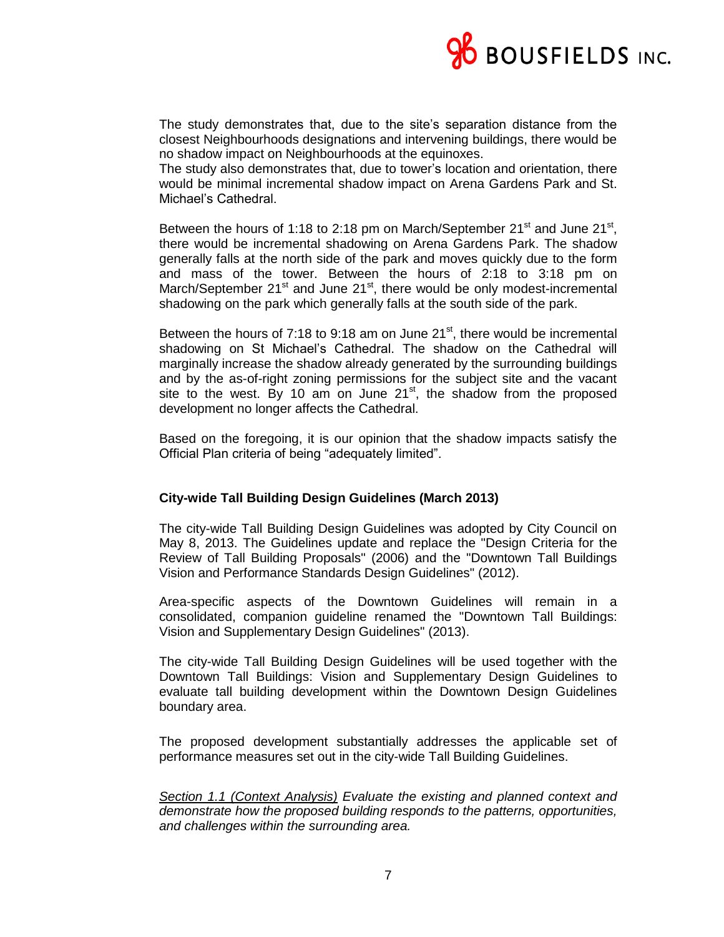

The study demonstrates that, due to the site's separation distance from the closest Neighbourhoods designations and intervening buildings, there would be no shadow impact on Neighbourhoods at the equinoxes.

The study also demonstrates that, due to tower's location and orientation, there would be minimal incremental shadow impact on Arena Gardens Park and St. Michael's Cathedral.

Between the hours of 1:18 to 2:18 pm on March/September 21<sup>st</sup> and June 21<sup>st</sup>, there would be incremental shadowing on Arena Gardens Park. The shadow generally falls at the north side of the park and moves quickly due to the form and mass of the tower. Between the hours of 2:18 to 3:18 pm on March/September  $21<sup>st</sup>$  and June  $21<sup>st</sup>$ , there would be only modest-incremental shadowing on the park which generally falls at the south side of the park.

Between the hours of 7:18 to 9:18 am on June  $21<sup>st</sup>$ , there would be incremental shadowing on St Michael's Cathedral. The shadow on the Cathedral will marginally increase the shadow already generated by the surrounding buildings and by the as-of-right zoning permissions for the subject site and the vacant site to the west. By 10 am on June  $21^{st}$ , the shadow from the proposed development no longer affects the Cathedral.

Based on the foregoing, it is our opinion that the shadow impacts satisfy the Official Plan criteria of being "adequately limited".

## **City-wide Tall Building Design Guidelines (March 2013)**

The city-wide Tall Building Design Guidelines was adopted by City Council on May 8, 2013. The Guidelines update and replace the "Design Criteria for the Review of Tall Building Proposals" (2006) and the "Downtown Tall Buildings Vision and Performance Standards Design Guidelines" (2012).

Area-specific aspects of the Downtown Guidelines will remain in a consolidated, companion guideline renamed the "Downtown Tall Buildings: Vision and Supplementary Design Guidelines" (2013).

The city-wide Tall Building Design Guidelines will be used together with the Downtown Tall Buildings: Vision and Supplementary Design Guidelines to evaluate tall building development within the Downtown Design Guidelines boundary area.

The proposed development substantially addresses the applicable set of performance measures set out in the city-wide Tall Building Guidelines.

*Section 1.1 (Context Analysis) Evaluate the existing and planned context and demonstrate how the proposed building responds to the patterns, opportunities, and challenges within the surrounding area.*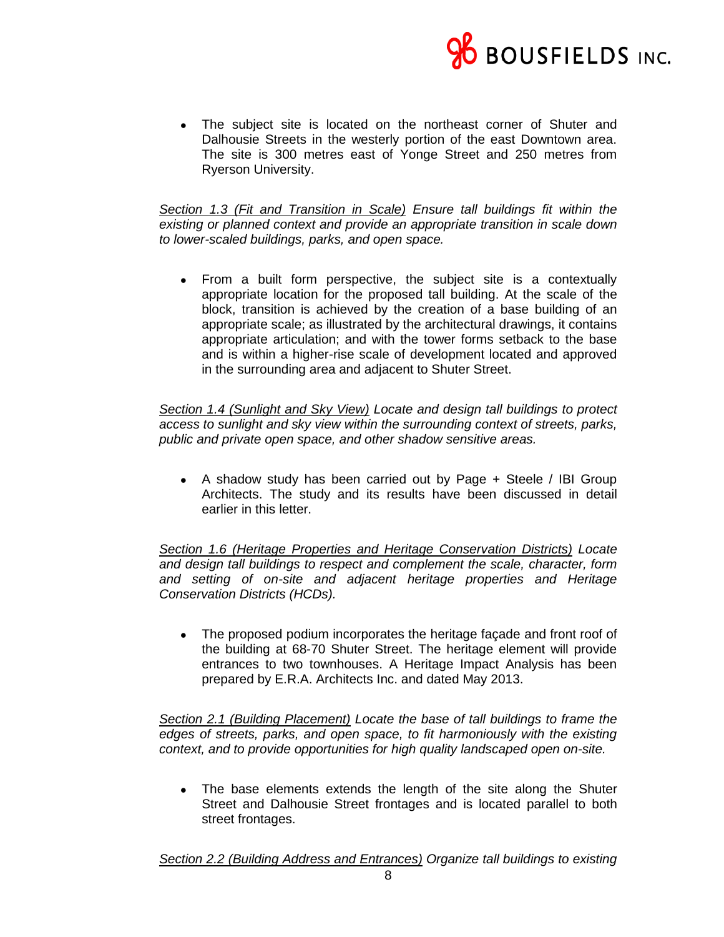

 The subject site is located on the northeast corner of Shuter and Dalhousie Streets in the westerly portion of the east Downtown area. The site is 300 metres east of Yonge Street and 250 metres from Ryerson University.

*Section 1.3 (Fit and Transition in Scale) Ensure tall buildings fit within the existing or planned context and provide an appropriate transition in scale down to lower-scaled buildings, parks, and open space.*

 From a built form perspective, the subject site is a contextually appropriate location for the proposed tall building. At the scale of the block, transition is achieved by the creation of a base building of an appropriate scale; as illustrated by the architectural drawings, it contains appropriate articulation; and with the tower forms setback to the base and is within a higher-rise scale of development located and approved in the surrounding area and adjacent to Shuter Street.

*Section 1.4 (Sunlight and Sky View) Locate and design tall buildings to protect access to sunlight and sky view within the surrounding context of streets, parks, public and private open space, and other shadow sensitive areas.*

 A shadow study has been carried out by Page + Steele / IBI Group Architects. The study and its results have been discussed in detail earlier in this letter.

*Section 1.6 (Heritage Properties and Heritage Conservation Districts) Locate and design tall buildings to respect and complement the scale, character, form and setting of on-site and adjacent heritage properties and Heritage Conservation Districts (HCDs).*

 The proposed podium incorporates the heritage façade and front roof of the building at 68-70 Shuter Street. The heritage element will provide entrances to two townhouses. A Heritage Impact Analysis has been prepared by E.R.A. Architects Inc. and dated May 2013.

*Section 2.1 (Building Placement) Locate the base of tall buildings to frame the edges of streets, parks, and open space, to fit harmoniously with the existing context, and to provide opportunities for high quality landscaped open on-site.*

 The base elements extends the length of the site along the Shuter Street and Dalhousie Street frontages and is located parallel to both street frontages.

*Section 2.2 (Building Address and Entrances) Organize tall buildings to existing*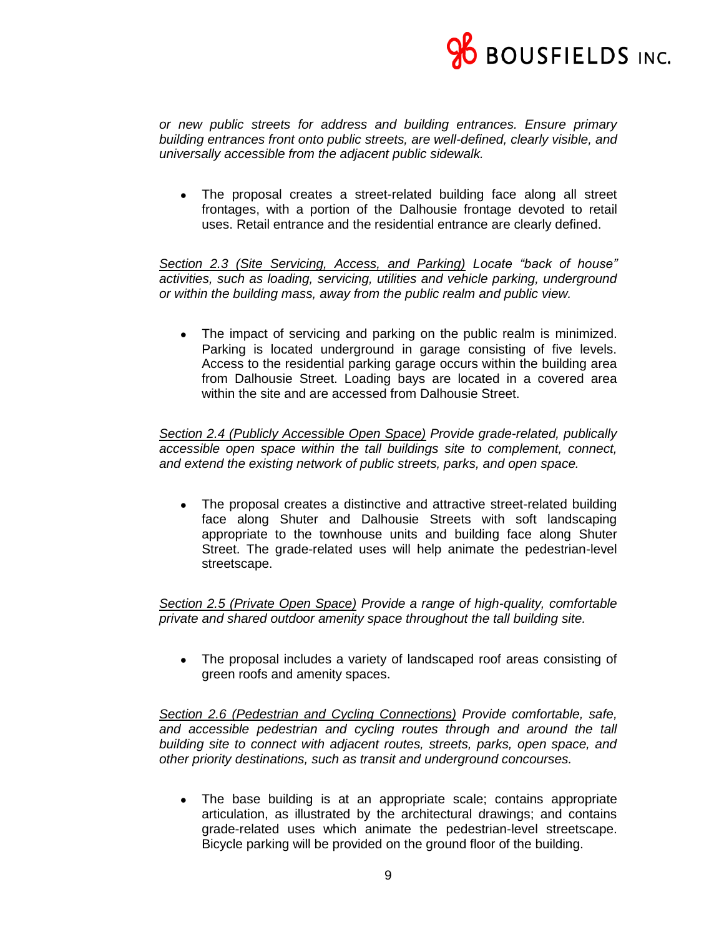

*or new public streets for address and building entrances. Ensure primary building entrances front onto public streets, are well-defined, clearly visible, and universally accessible from the adjacent public sidewalk.*

 The proposal creates a street-related building face along all street frontages, with a portion of the Dalhousie frontage devoted to retail uses. Retail entrance and the residential entrance are clearly defined.

*Section 2.3 (Site Servicing, Access, and Parking) Locate "back of house" activities, such as loading, servicing, utilities and vehicle parking, underground or within the building mass, away from the public realm and public view.*

• The impact of servicing and parking on the public realm is minimized. Parking is located underground in garage consisting of five levels. Access to the residential parking garage occurs within the building area from Dalhousie Street. Loading bays are located in a covered area within the site and are accessed from Dalhousie Street.

*Section 2.4 (Publicly Accessible Open Space) Provide grade-related, publically accessible open space within the tall buildings site to complement, connect, and extend the existing network of public streets, parks, and open space.*

• The proposal creates a distinctive and attractive street-related building face along Shuter and Dalhousie Streets with soft landscaping appropriate to the townhouse units and building face along Shuter Street. The grade-related uses will help animate the pedestrian-level streetscape.

*Section 2.5 (Private Open Space) Provide a range of high-quality, comfortable private and shared outdoor amenity space throughout the tall building site.*

 The proposal includes a variety of landscaped roof areas consisting of green roofs and amenity spaces.

*Section 2.6 (Pedestrian and Cycling Connections) Provide comfortable, safe, and accessible pedestrian and cycling routes through and around the tall building site to connect with adjacent routes, streets, parks, open space, and other priority destinations, such as transit and underground concourses.*

 The base building is at an appropriate scale; contains appropriate articulation, as illustrated by the architectural drawings; and contains grade-related uses which animate the pedestrian-level streetscape. Bicycle parking will be provided on the ground floor of the building.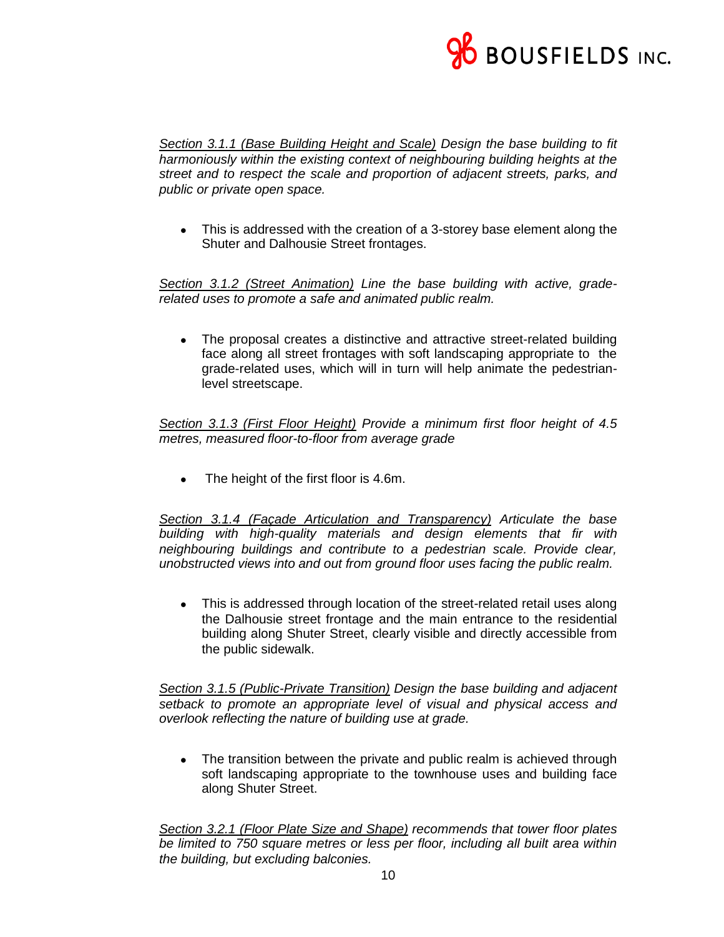

*Section 3.1.1 (Base Building Height and Scale) Design the base building to fit harmoniously within the existing context of neighbouring building heights at the street and to respect the scale and proportion of adjacent streets, parks, and public or private open space.*

• This is addressed with the creation of a 3-storey base element along the Shuter and Dalhousie Street frontages.

*Section 3.1.2 (Street Animation) Line the base building with active, graderelated uses to promote a safe and animated public realm.*

 The proposal creates a distinctive and attractive street-related building face along all street frontages with soft landscaping appropriate to the grade-related uses, which will in turn will help animate the pedestrianlevel streetscape.

*Section 3.1.3 (First Floor Height) Provide a minimum first floor height of 4.5 metres, measured floor-to-floor from average grade*

The height of the first floor is 4.6m.

*Section 3.1.4 (Façade Articulation and Transparency) Articulate the base building with high-quality materials and design elements that fir with neighbouring buildings and contribute to a pedestrian scale. Provide clear, unobstructed views into and out from ground floor uses facing the public realm.*

• This is addressed through location of the street-related retail uses along the Dalhousie street frontage and the main entrance to the residential building along Shuter Street, clearly visible and directly accessible from the public sidewalk.

*Section 3.1.5 (Public-Private Transition) Design the base building and adjacent setback to promote an appropriate level of visual and physical access and overlook reflecting the nature of building use at grade.*

• The transition between the private and public realm is achieved through soft landscaping appropriate to the townhouse uses and building face along Shuter Street.

*Section 3.2.1 (Floor Plate Size and Shape) recommends that tower floor plates be limited to 750 square metres or less per floor, including all built area within the building, but excluding balconies.*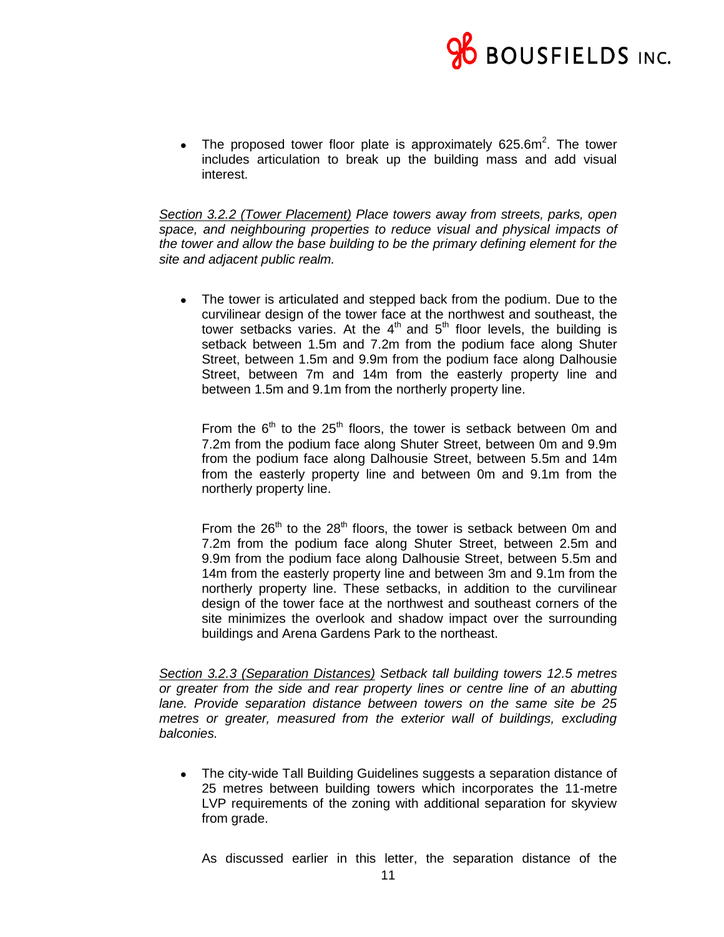

• The proposed tower floor plate is approximately  $625.6m^2$ . The tower includes articulation to break up the building mass and add visual interest.

*Section 3.2.2 (Tower Placement) Place towers away from streets, parks, open space, and neighbouring properties to reduce visual and physical impacts of the tower and allow the base building to be the primary defining element for the site and adjacent public realm.*

• The tower is articulated and stepped back from the podium. Due to the curvilinear design of the tower face at the northwest and southeast, the tower setbacks varies. At the  $4<sup>th</sup>$  and  $5<sup>th</sup>$  floor levels, the building is setback between 1.5m and 7.2m from the podium face along Shuter Street, between 1.5m and 9.9m from the podium face along Dalhousie Street, between 7m and 14m from the easterly property line and between 1.5m and 9.1m from the northerly property line.

From the  $6<sup>th</sup>$  to the 25<sup>th</sup> floors, the tower is setback between 0m and 7.2m from the podium face along Shuter Street, between 0m and 9.9m from the podium face along Dalhousie Street, between 5.5m and 14m from the easterly property line and between 0m and 9.1m from the northerly property line.

From the  $26<sup>th</sup>$  to the  $28<sup>th</sup>$  floors, the tower is setback between 0m and 7.2m from the podium face along Shuter Street, between 2.5m and 9.9m from the podium face along Dalhousie Street, between 5.5m and 14m from the easterly property line and between 3m and 9.1m from the northerly property line. These setbacks, in addition to the curvilinear design of the tower face at the northwest and southeast corners of the site minimizes the overlook and shadow impact over the surrounding buildings and Arena Gardens Park to the northeast.

*Section 3.2.3 (Separation Distances) Setback tall building towers 12.5 metres or greater from the side and rear property lines or centre line of an abutting lane. Provide separation distance between towers on the same site be 25 metres or greater, measured from the exterior wall of buildings, excluding balconies.*

• The city-wide Tall Building Guidelines suggests a separation distance of 25 metres between building towers which incorporates the 11-metre LVP requirements of the zoning with additional separation for skyview from grade.

As discussed earlier in this letter, the separation distance of the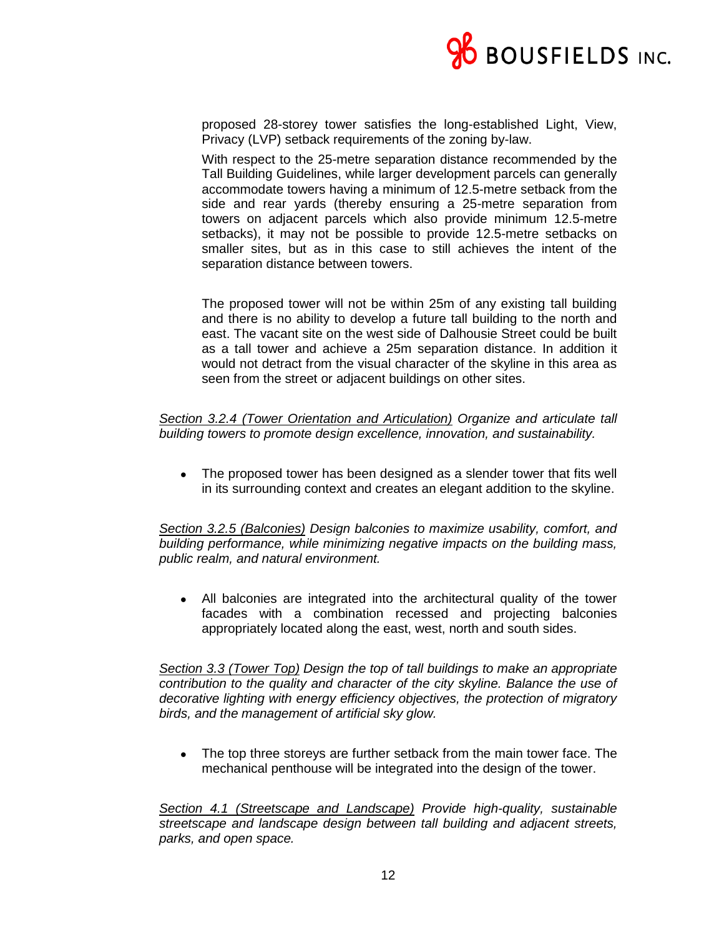

proposed 28-storey tower satisfies the long-established Light, View, Privacy (LVP) setback requirements of the zoning by-law.

With respect to the 25-metre separation distance recommended by the Tall Building Guidelines, while larger development parcels can generally accommodate towers having a minimum of 12.5-metre setback from the side and rear yards (thereby ensuring a 25-metre separation from towers on adjacent parcels which also provide minimum 12.5-metre setbacks), it may not be possible to provide 12.5-metre setbacks on smaller sites, but as in this case to still achieves the intent of the separation distance between towers.

The proposed tower will not be within 25m of any existing tall building and there is no ability to develop a future tall building to the north and east. The vacant site on the west side of Dalhousie Street could be built as a tall tower and achieve a 25m separation distance. In addition it would not detract from the visual character of the skyline in this area as seen from the street or adjacent buildings on other sites.

*Section 3.2.4 (Tower Orientation and Articulation) Organize and articulate tall building towers to promote design excellence, innovation, and sustainability.*

• The proposed tower has been designed as a slender tower that fits well in its surrounding context and creates an elegant addition to the skyline.

*Section 3.2.5 (Balconies) Design balconies to maximize usability, comfort, and building performance, while minimizing negative impacts on the building mass, public realm, and natural environment.*

 All balconies are integrated into the architectural quality of the tower facades with a combination recessed and projecting balconies appropriately located along the east, west, north and south sides.

*Section 3.3 (Tower Top) Design the top of tall buildings to make an appropriate contribution to the quality and character of the city skyline. Balance the use of decorative lighting with energy efficiency objectives, the protection of migratory birds, and the management of artificial sky glow.*

• The top three storeys are further setback from the main tower face. The mechanical penthouse will be integrated into the design of the tower.

*Section 4.1 (Streetscape and Landscape) Provide high-quality, sustainable streetscape and landscape design between tall building and adjacent streets, parks, and open space.*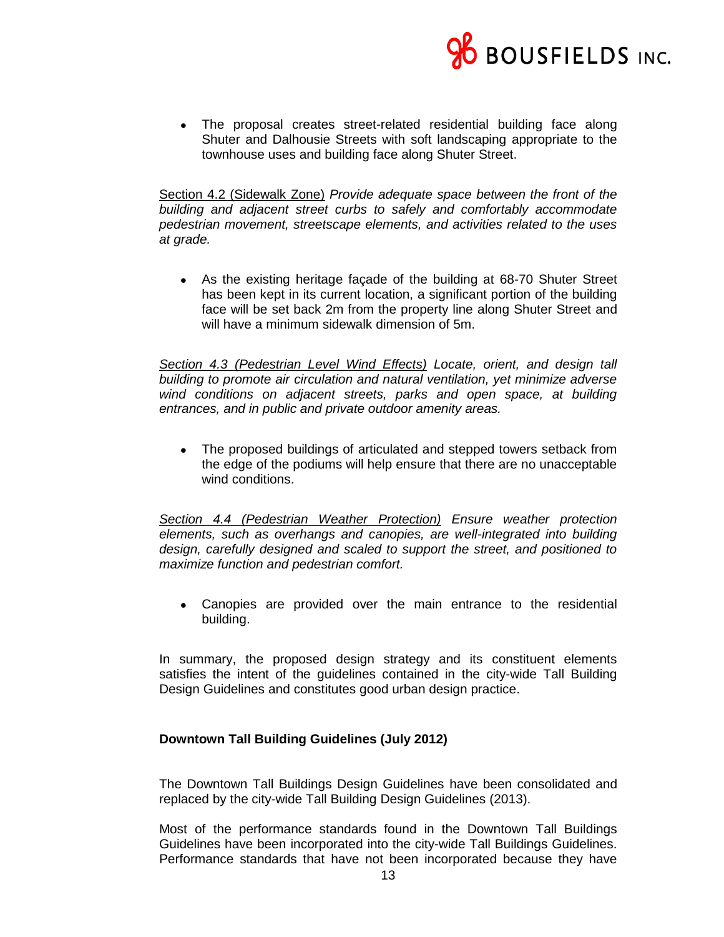

 The proposal creates street-related residential building face along Shuter and Dalhousie Streets with soft landscaping appropriate to the townhouse uses and building face along Shuter Street.

Section 4.2 (Sidewalk Zone) *Provide adequate space between the front of the building and adjacent street curbs to safely and comfortably accommodate pedestrian movement, streetscape elements, and activities related to the uses at grade.*

 As the existing heritage façade of the building at 68-70 Shuter Street has been kept in its current location, a significant portion of the building face will be set back 2m from the property line along Shuter Street and will have a minimum sidewalk dimension of 5m.

*Section 4.3 (Pedestrian Level Wind Effects) Locate, orient, and design tall building to promote air circulation and natural ventilation, yet minimize adverse wind conditions on adjacent streets, parks and open space, at building entrances, and in public and private outdoor amenity areas.*

 The proposed buildings of articulated and stepped towers setback from the edge of the podiums will help ensure that there are no unacceptable wind conditions.

*Section 4.4 (Pedestrian Weather Protection) Ensure weather protection elements, such as overhangs and canopies, are well-integrated into building design, carefully designed and scaled to support the street, and positioned to maximize function and pedestrian comfort.*

 Canopies are provided over the main entrance to the residential building.

In summary, the proposed design strategy and its constituent elements satisfies the intent of the guidelines contained in the city-wide Tall Building Design Guidelines and constitutes good urban design practice.

# **Downtown Tall Building Guidelines (July 2012)**

The Downtown Tall Buildings Design Guidelines have been consolidated and replaced by the city-wide Tall Building Design Guidelines (2013).

Most of the performance standards found in the Downtown Tall Buildings Guidelines have been incorporated into the city-wide Tall Buildings Guidelines. Performance standards that have not been incorporated because they have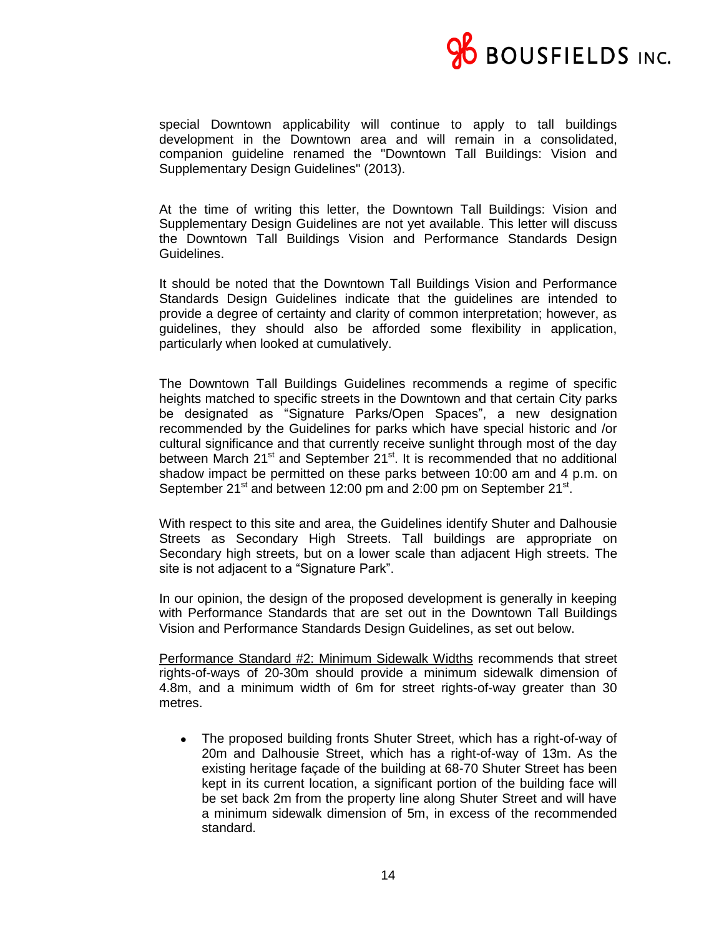

special Downtown applicability will continue to apply to tall buildings development in the Downtown area and will remain in a consolidated, companion guideline renamed the "Downtown Tall Buildings: Vision and Supplementary Design Guidelines" (2013).

At the time of writing this letter, the Downtown Tall Buildings: Vision and Supplementary Design Guidelines are not yet available. This letter will discuss the Downtown Tall Buildings Vision and Performance Standards Design Guidelines.

It should be noted that the Downtown Tall Buildings Vision and Performance Standards Design Guidelines indicate that the guidelines are intended to provide a degree of certainty and clarity of common interpretation; however, as guidelines, they should also be afforded some flexibility in application, particularly when looked at cumulatively.

The Downtown Tall Buildings Guidelines recommends a regime of specific heights matched to specific streets in the Downtown and that certain City parks be designated as "Signature Parks/Open Spaces", a new designation recommended by the Guidelines for parks which have special historic and /or cultural significance and that currently receive sunlight through most of the day between March  $21<sup>st</sup>$  and September  $21<sup>st</sup>$ . It is recommended that no additional shadow impact be permitted on these parks between 10:00 am and 4 p.m. on September  $21^{st}$  and between 12:00 pm and 2:00 pm on September 21 $^{st}$ .

With respect to this site and area, the Guidelines identify Shuter and Dalhousie Streets as Secondary High Streets. Tall buildings are appropriate on Secondary high streets, but on a lower scale than adjacent High streets. The site is not adjacent to a "Signature Park".

In our opinion, the design of the proposed development is generally in keeping with Performance Standards that are set out in the Downtown Tall Buildings Vision and Performance Standards Design Guidelines, as set out below.

Performance Standard #2: Minimum Sidewalk Widths recommends that street rights-of-ways of 20-30m should provide a minimum sidewalk dimension of 4.8m, and a minimum width of 6m for street rights-of-way greater than 30 metres.

 The proposed building fronts Shuter Street, which has a right-of-way of 20m and Dalhousie Street, which has a right-of-way of 13m. As the existing heritage façade of the building at 68-70 Shuter Street has been kept in its current location, a significant portion of the building face will be set back 2m from the property line along Shuter Street and will have a minimum sidewalk dimension of 5m, in excess of the recommended standard.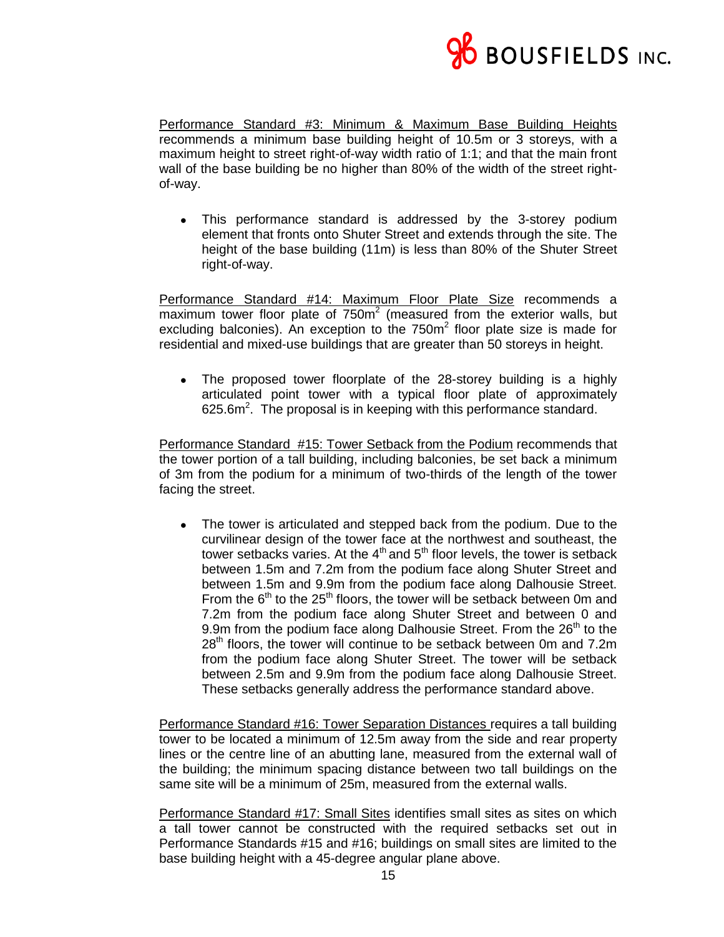

Performance Standard #3: Minimum & Maximum Base Building Heights recommends a minimum base building height of 10.5m or 3 storeys, with a maximum height to street right-of-way width ratio of 1:1; and that the main front wall of the base building be no higher than 80% of the width of the street rightof-way.

 This performance standard is addressed by the 3-storey podium element that fronts onto Shuter Street and extends through the site. The height of the base building (11m) is less than 80% of the Shuter Street right-of-way.

Performance Standard #14: Maximum Floor Plate Size recommends a maximum tower floor plate of  $750m^2$  (measured from the exterior walls, but excluding balconies). An exception to the  $750m<sup>2</sup>$  floor plate size is made for residential and mixed-use buildings that are greater than 50 storeys in height.

• The proposed tower floorplate of the 28-storey building is a highly articulated point tower with a typical floor plate of approximately 625.6 $m^2$ . The proposal is in keeping with this performance standard.

Performance Standard #15: Tower Setback from the Podium recommends that the tower portion of a tall building, including balconies, be set back a minimum of 3m from the podium for a minimum of two-thirds of the length of the tower facing the street.

• The tower is articulated and stepped back from the podium. Due to the curvilinear design of the tower face at the northwest and southeast, the tower setbacks varies. At the  $4<sup>th</sup>$  and  $5<sup>th</sup>$  floor levels, the tower is setback between 1.5m and 7.2m from the podium face along Shuter Street and between 1.5m and 9.9m from the podium face along Dalhousie Street. From the  $6<sup>th</sup>$  to the 25<sup>th</sup> floors, the tower will be setback between 0m and 7.2m from the podium face along Shuter Street and between 0 and 9.9m from the podium face along Dalhousie Street. From the  $26<sup>th</sup>$  to the 28<sup>th</sup> floors, the tower will continue to be setback between 0m and 7.2m from the podium face along Shuter Street. The tower will be setback between 2.5m and 9.9m from the podium face along Dalhousie Street. These setbacks generally address the performance standard above.

Performance Standard #16: Tower Separation Distances requires a tall building tower to be located a minimum of 12.5m away from the side and rear property lines or the centre line of an abutting lane, measured from the external wall of the building; the minimum spacing distance between two tall buildings on the same site will be a minimum of 25m, measured from the external walls.

Performance Standard #17: Small Sites identifies small sites as sites on which a tall tower cannot be constructed with the required setbacks set out in Performance Standards #15 and #16; buildings on small sites are limited to the base building height with a 45-degree angular plane above.